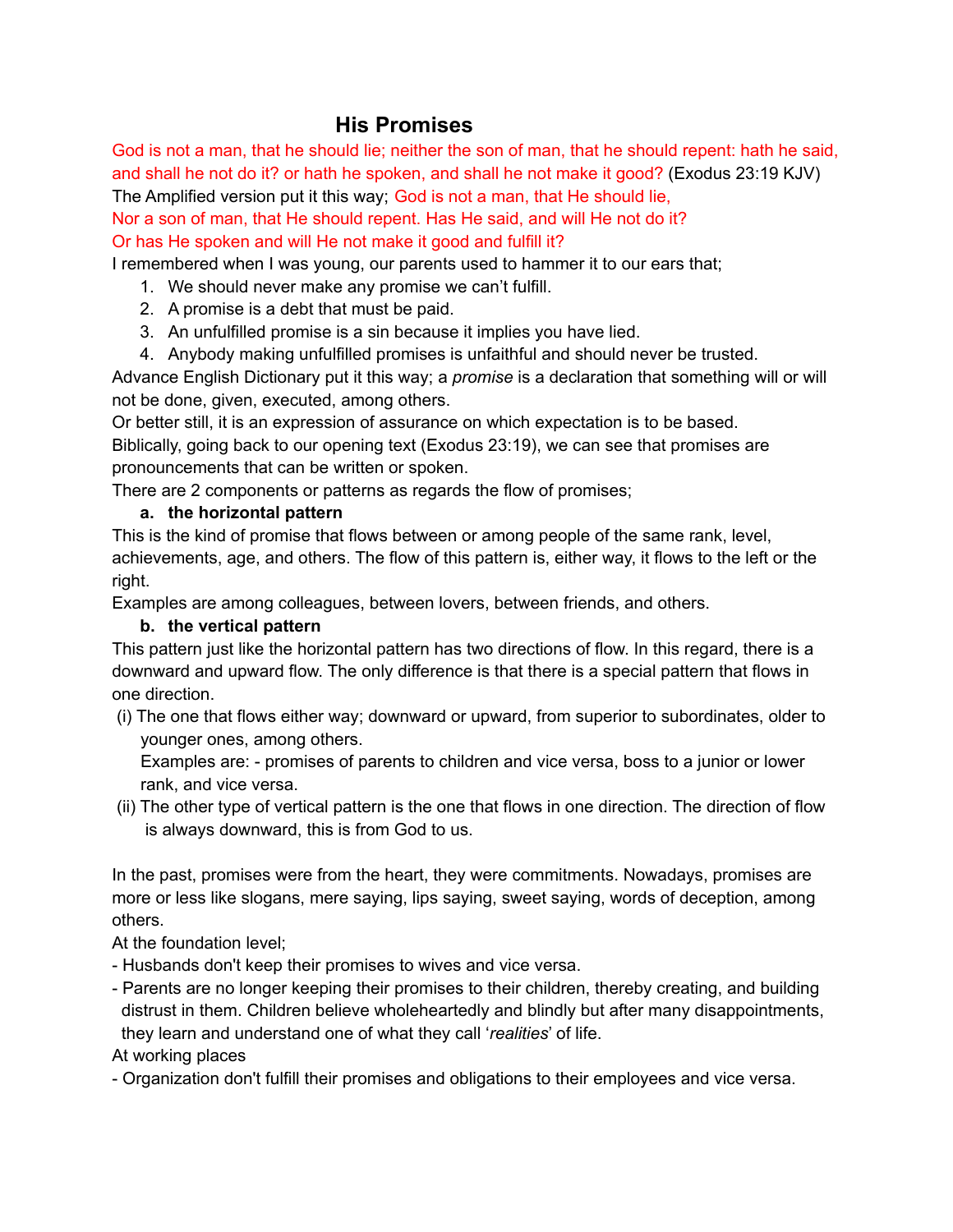# **His Promises**

God is not a man, that he should lie; neither the son of man, that he should repent: hath he said, and shall he not do it? or hath he spoken, and shall he not make it good? (Exodus 23:19 KJV) The Amplified version put it this way; God is not a man, that He should lie,

Nor a son of man, that He should repent. Has He said, and will He not do it? Or has He spoken and will He not make it good and fulfill it?

I remembered when I was young, our parents used to hammer it to our ears that;

- 1. We should never make any promise we can't fulfill.
- 2. A promise is a debt that must be paid.
- 3. An unfulfilled promise is a sin because it implies you have lied.
- 4. Anybody making unfulfilled promises is unfaithful and should never be trusted.

Advance English Dictionary put it this way; a *promise* is a declaration that something will or will not be done, given, executed, among others.

Or better still, it is an expression of assurance on which expectation is to be based.

Biblically, going back to our opening text (Exodus 23:19), we can see that promises are pronouncements that can be written or spoken.

There are 2 components or patterns as regards the flow of promises;

#### **a. the horizontal pattern**

This is the kind of promise that flows between or among people of the same rank, level, achievements, age, and others. The flow of this pattern is, either way, it flows to the left or the right.

Examples are among colleagues, between lovers, between friends, and others.

#### **b. the vertical pattern**

This pattern just like the horizontal pattern has two directions of flow. In this regard, there is a downward and upward flow. The only difference is that there is a special pattern that flows in one direction.

(i) The one that flows either way; downward or upward, from superior to subordinates, older to younger ones, among others.

Examples are: - promises of parents to children and vice versa, boss to a junior or lower rank, and vice versa.

(ii) The other type of vertical pattern is the one that flows in one direction. The direction of flow is always downward, this is from God to us.

In the past, promises were from the heart, they were commitments. Nowadays, promises are more or less like slogans, mere saying, lips saying, sweet saying, words of deception, among others.

At the foundation level;

- Husbands don't keep their promises to wives and vice versa.
- Parents are no longer keeping their promises to their children, thereby creating, and building distrust in them. Children believe wholeheartedly and blindly but after many disappointments, they learn and understand one of what they call '*realities*' of life.

At working places

- Organization don't fulfill their promises and obligations to their employees and vice versa.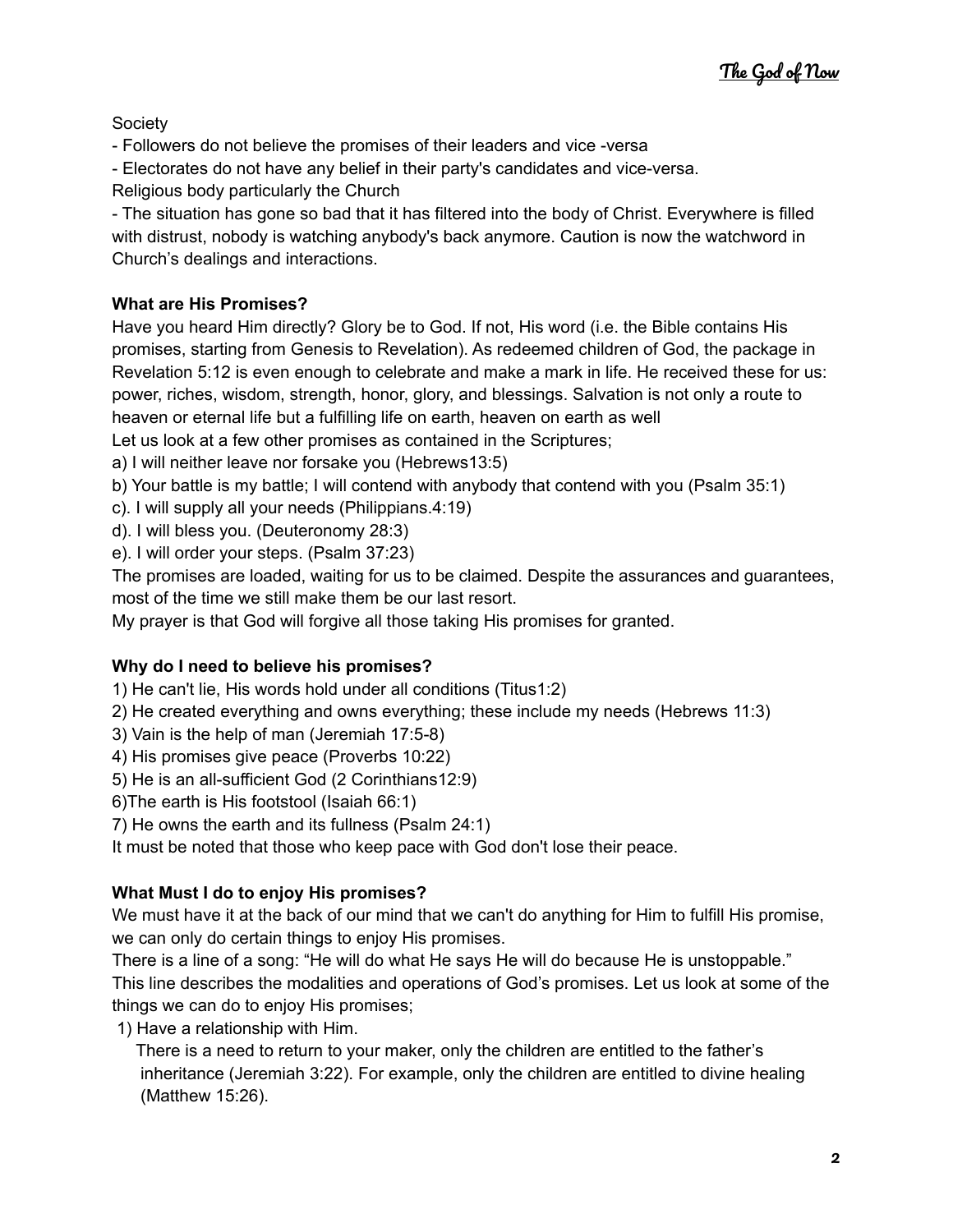Society

- Followers do not believe the promises of their leaders and vice -versa
- Electorates do not have any belief in their party's candidates and vice-versa.

Religious body particularly the Church

- The situation has gone so bad that it has filtered into the body of Christ. Everywhere is filled with distrust, nobody is watching anybody's back anymore. Caution is now the watchword in Church's dealings and interactions.

## **What are His Promises?**

Have you heard Him directly? Glory be to God. If not, His word (i.e. the Bible contains His promises, starting from Genesis to Revelation). As redeemed children of God, the package in Revelation 5:12 is even enough to celebrate and make a mark in life. He received these for us: power, riches, wisdom, strength, honor, glory, and blessings. Salvation is not only a route to heaven or eternal life but a fulfilling life on earth, heaven on earth as well

Let us look at a few other promises as contained in the Scriptures;

a) I will neither leave nor forsake you (Hebrews13:5)

- b) Your battle is my battle; I will contend with anybody that contend with you (Psalm 35:1)
- c). I will supply all your needs (Philippians.4:19)
- d). I will bless you. (Deuteronomy 28:3)
- e). I will order your steps. (Psalm 37:23)

The promises are loaded, waiting for us to be claimed. Despite the assurances and guarantees, most of the time we still make them be our last resort.

My prayer is that God will forgive all those taking His promises for granted.

## **Why do I need to believe his promises?**

1) He can't lie, His words hold under all conditions (Titus1:2)

- 2) He created everything and owns everything; these include my needs (Hebrews 11:3)
- 3) Vain is the help of man (Jeremiah 17:5-8)
- 4) His promises give peace (Proverbs 10:22)
- 5) He is an all-sufficient God (2 Corinthians12:9)
- 6)The earth is His footstool (Isaiah 66:1)
- 7) He owns the earth and its fullness (Psalm 24:1)

It must be noted that those who keep pace with God don't lose their peace.

## **What Must I do to enjoy His promises?**

We must have it at the back of our mind that we can't do anything for Him to fulfill His promise, we can only do certain things to enjoy His promises.

There is a line of a song: "He will do what He says He will do because He is unstoppable." This line describes the modalities and operations of God's promises. Let us look at some of the things we can do to enjoy His promises;

1) Have a relationship with Him.

There is a need to return to your maker, only the children are entitled to the father's inheritance (Jeremiah 3:22). For example, only the children are entitled to divine healing (Matthew 15:26).